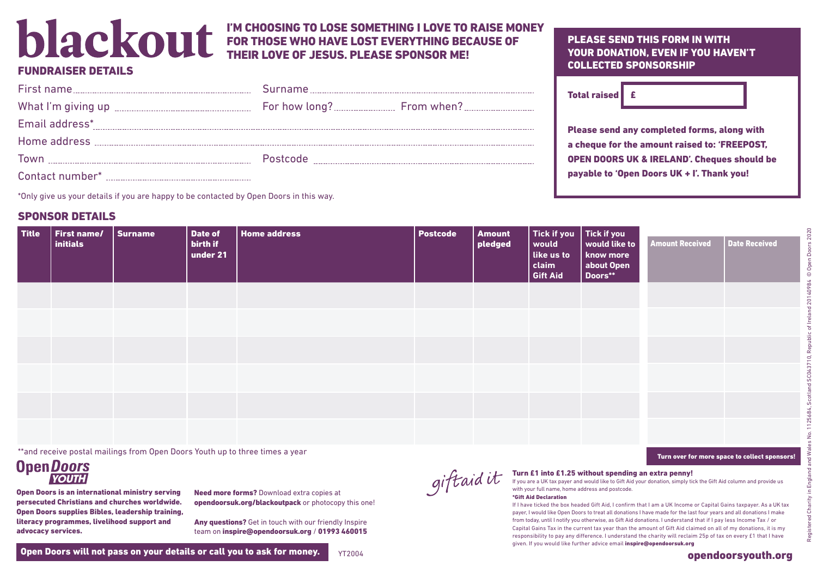# blackout

#### I'M CHOOSING TO LOSE SOMETHING I LOVE TO RAISE MONEY FOR THOSE WHO HAVE LOST EVERYTHING BECAUSE OF THEIR LOVE OF JESUS. PLEASE SPONSOR ME!

## **FUNDRAISER DETAILS**

| Email address* |  |
|----------------|--|
|                |  |
|                |  |
|                |  |

\*Only give us your details if you are happy to be contacted by Open Doors in this way.

# SPONSOR DETAILS

| <b>Title</b> | First name/<br>initials | <b>Surname</b> | Date of<br>birth if<br>under 21 | <b>Home address</b> | Postcode | <b>Amount</b><br>pledged | Tick if you<br>would<br>like us to<br>claim<br><b>Gift Aid</b> | Tick if you<br>  would like to  <br>know more<br>about Open<br>Doors** | <b>Amount Received</b> | Date Received |
|--------------|-------------------------|----------------|---------------------------------|---------------------|----------|--------------------------|----------------------------------------------------------------|------------------------------------------------------------------------|------------------------|---------------|
|              |                         |                |                                 |                     |          |                          |                                                                |                                                                        |                        |               |
|              |                         |                |                                 |                     |          |                          |                                                                |                                                                        |                        |               |
|              |                         |                |                                 |                     |          |                          |                                                                |                                                                        |                        |               |
|              |                         |                |                                 |                     |          |                          |                                                                |                                                                        |                        |               |
|              |                         |                |                                 |                     |          |                          |                                                                |                                                                        |                        |               |
|              |                         |                |                                 |                     |          |                          |                                                                |                                                                        |                        |               |

\*\*and receive postal mailings from Open Doors Youth up to three times a year

## **OpenDoors YOUTH**

Open Doors is an international ministry serving persecuted Christians and churches worldwide. Open Doors supplies Bibles, leadership training, literacy programmes, livelihood support and advocacy services.

Need more forms? Download extra copies at opendoorsuk.org/blackoutpack or photocopy this one!

Any questions? Get in touch with our friendly Inspire team on inspire@opendoorsuk.org / 01993 460015

#### PLEASE SEND THIS FORM IN WITH YOUR DONATION, EVEN IF YOU HAVEN'T COLLECTED SPONSORSHIP

| <b>Total raised</b> |  |
|---------------------|--|
|---------------------|--|

Please send any completed forms, along with a cheque for the amount raised to: 'FREEPOST, OPEN DOORS UK & IRELAND'. Cheques should be payable to 'Open Doors UK + I'. Thank you!



#### Turn £1 into £1.25 without spending an extra penny!

If you are a UK tax payer and would like to Gift Aid your donation, simply tick the Gift Aid column and provide us with your full name, home address and postcode. \*Gift Aid Declaration

If I have ticked the box headed Gift Aid, I confirm that I am a UK Income or Capital Gains taxpayer. As a UK tax payer, I would like Open Doors to treat all donations I have made for the last four years and all donations I make from today, until I notify you otherwise, as Gift Aid donations. I understand that if I pay less Income Tax / or Capital Gains Tax in the current tax year than the amount of Gift Aid claimed on all of my donations, it is my responsibility to pay any difference. I understand the charity will reclaim 25p of tax on every £1 that I have given. If you would like further advice email inspire@opendoorsuk.org